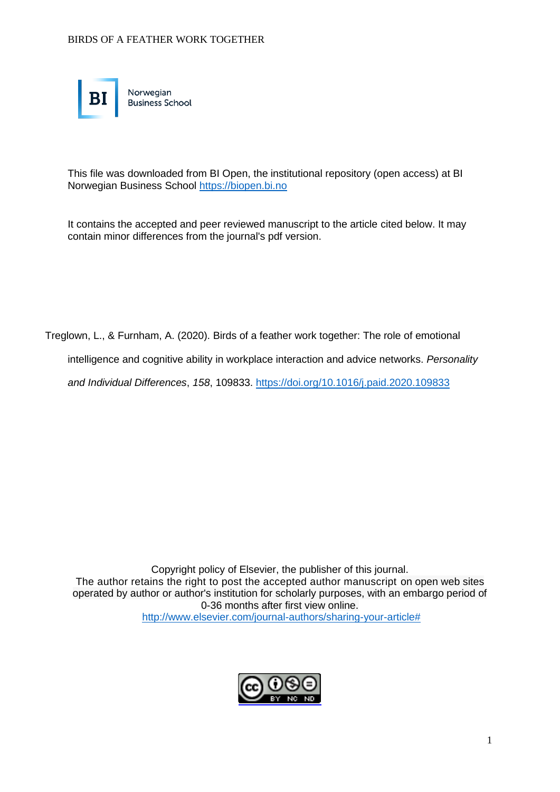

This file was downloaded from BI Open, the institutional repository (open access) at BI Norwegian Business School [https://biopen.bi.no](https://biopen.bi.no/)

It contains the accepted and peer reviewed manuscript to the article cited below. It may contain minor differences from the journal's pdf version.

Treglown, L., & Furnham, A. (2020). Birds of a feather work together: The role of emotional

intelligence and cognitive ability in workplace interaction and advice networks. *Personality* 

*and Individual Differences*, *158*, 109833.<https://doi.org/10.1016/j.paid.2020.109833>

Copyright policy of Elsevier, the publisher of this journal. The author retains the right to post the accepted author manuscript on open web sites operated by author or author's institution for scholarly purposes, with an embargo period of 0-36 months after first view online. [http://www.elsevier.com/journal-authors/sharing-your-article#](http://www.elsevier.com/journal-authors/sharing-your-article)

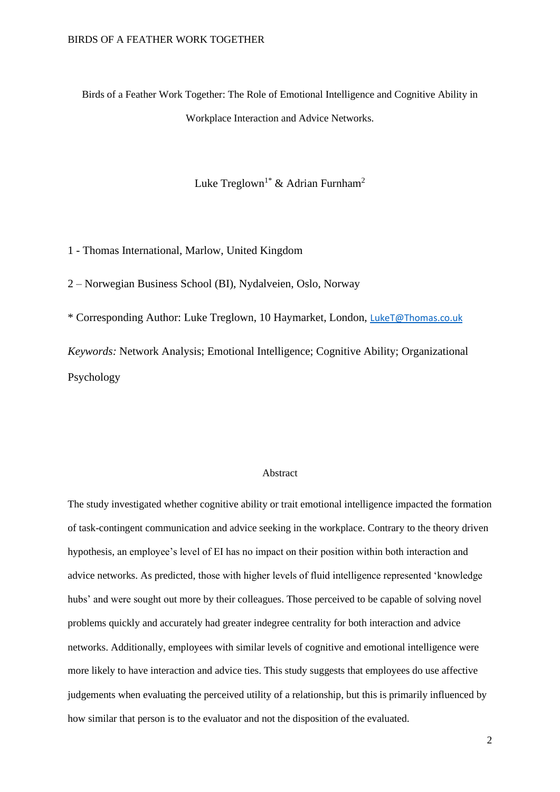Birds of a Feather Work Together: The Role of Emotional Intelligence and Cognitive Ability in Workplace Interaction and Advice Networks.

Luke Treglown<sup>1\*</sup> & Adrian Furnham<sup>2</sup>

1 - Thomas International, Marlow, United Kingdom

2 – Norwegian Business School (BI), Nydalveien, Oslo, Norway

\* Corresponding Author: Luke Treglown, 10 Haymarket, London, [LukeT@Thomas.co.uk](mailto:LukeT@Thomas.co.uk) *Keywords:* Network Analysis; Emotional Intelligence; Cognitive Ability; Organizational Psychology

### Abstract

The study investigated whether cognitive ability or trait emotional intelligence impacted the formation of task-contingent communication and advice seeking in the workplace. Contrary to the theory driven hypothesis, an employee's level of EI has no impact on their position within both interaction and advice networks. As predicted, those with higher levels of fluid intelligence represented 'knowledge hubs' and were sought out more by their colleagues. Those perceived to be capable of solving novel problems quickly and accurately had greater indegree centrality for both interaction and advice networks. Additionally, employees with similar levels of cognitive and emotional intelligence were more likely to have interaction and advice ties. This study suggests that employees do use affective judgements when evaluating the perceived utility of a relationship, but this is primarily influenced by how similar that person is to the evaluator and not the disposition of the evaluated.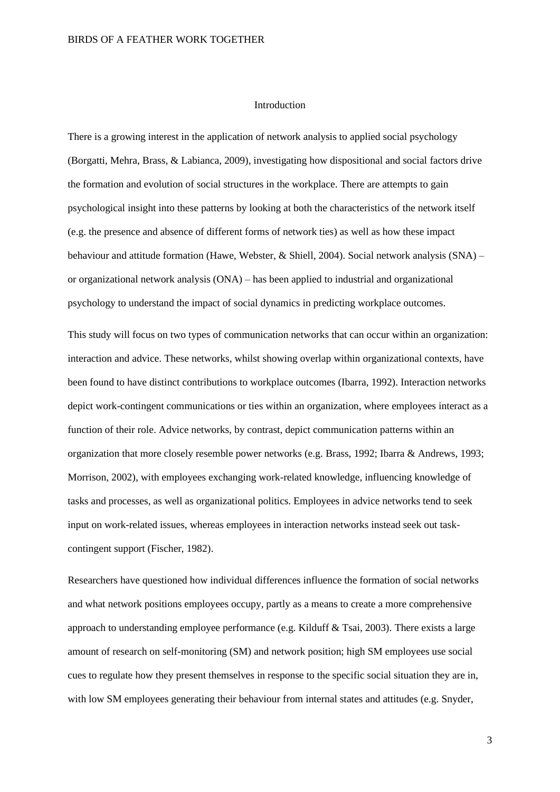#### Introduction

There is a growing interest in the application of network analysis to applied social psychology (Borgatti, Mehra, Brass, & Labianca, 2009), investigating how dispositional and social factors drive the formation and evolution of social structures in the workplace. There are attempts to gain psychological insight into these patterns by looking at both the characteristics of the network itself (e.g. the presence and absence of different forms of network ties) as well as how these impact behaviour and attitude formation (Hawe, Webster, & Shiell, 2004). Social network analysis (SNA) – or organizational network analysis (ONA) – has been applied to industrial and organizational psychology to understand the impact of social dynamics in predicting workplace outcomes.

This study will focus on two types of communication networks that can occur within an organization: interaction and advice. These networks, whilst showing overlap within organizational contexts, have been found to have distinct contributions to workplace outcomes (Ibarra, 1992). Interaction networks depict work-contingent communications or ties within an organization, where employees interact as a function of their role. Advice networks, by contrast, depict communication patterns within an organization that more closely resemble power networks (e.g. Brass, 1992; Ibarra & Andrews, 1993; Morrison, 2002), with employees exchanging work-related knowledge, influencing knowledge of tasks and processes, as well as organizational politics. Employees in advice networks tend to seek input on work-related issues, whereas employees in interaction networks instead seek out taskcontingent support (Fischer, 1982).

Researchers have questioned how individual differences influence the formation of social networks and what network positions employees occupy, partly as a means to create a more comprehensive approach to understanding employee performance (e.g. Kilduff & Tsai, 2003). There exists a large amount of research on self-monitoring (SM) and network position; high SM employees use social cues to regulate how they present themselves in response to the specific social situation they are in, with low SM employees generating their behaviour from internal states and attitudes (e.g. Snyder,

3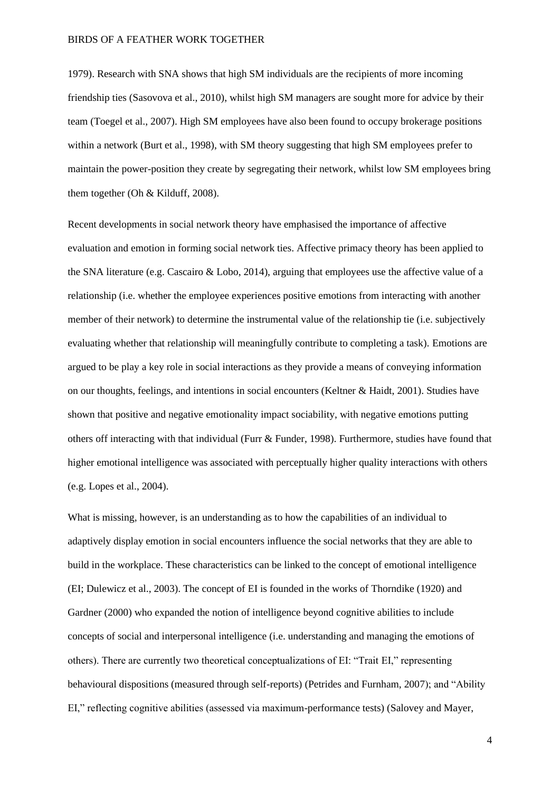1979). Research with SNA shows that high SM individuals are the recipients of more incoming friendship ties (Sasovova et al., 2010), whilst high SM managers are sought more for advice by their team (Toegel et al., 2007). High SM employees have also been found to occupy brokerage positions within a network (Burt et al., 1998), with SM theory suggesting that high SM employees prefer to maintain the power-position they create by segregating their network, whilst low SM employees bring them together (Oh & Kilduff, 2008).

Recent developments in social network theory have emphasised the importance of affective evaluation and emotion in forming social network ties. Affective primacy theory has been applied to the SNA literature (e.g. Cascairo & Lobo, 2014), arguing that employees use the affective value of a relationship (i.e. whether the employee experiences positive emotions from interacting with another member of their network) to determine the instrumental value of the relationship tie (i.e. subjectively evaluating whether that relationship will meaningfully contribute to completing a task). Emotions are argued to be play a key role in social interactions as they provide a means of conveying information on our thoughts, feelings, and intentions in social encounters (Keltner & Haidt, 2001). Studies have shown that positive and negative emotionality impact sociability, with negative emotions putting others off interacting with that individual (Furr & Funder, 1998). Furthermore, studies have found that higher emotional intelligence was associated with perceptually higher quality interactions with others (e.g. Lopes et al., 2004).

What is missing, however, is an understanding as to how the capabilities of an individual to adaptively display emotion in social encounters influence the social networks that they are able to build in the workplace. These characteristics can be linked to the concept of emotional intelligence (EI; Dulewicz et al., 2003). The concept of EI is founded in the works of Thorndike (1920) and Gardner (2000) who expanded the notion of intelligence beyond cognitive abilities to include concepts of social and interpersonal intelligence (i.e. understanding and managing the emotions of others). There are currently two theoretical conceptualizations of EI: "Trait EI," representing behavioural dispositions (measured through self-reports) (Petrides and Furnham, 2007); and "Ability EI," reflecting cognitive abilities (assessed via maximum-performance tests) (Salovey and Mayer,

4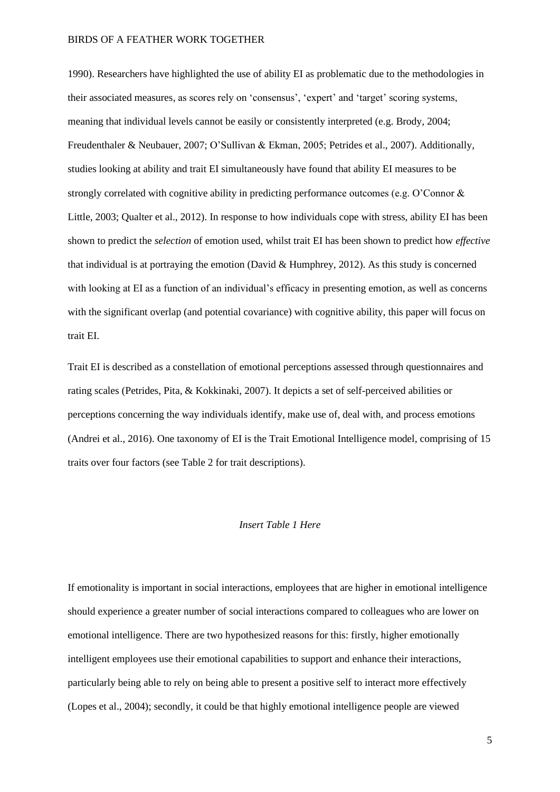1990). Researchers have highlighted the use of ability EI as problematic due to the methodologies in their associated measures, as scores rely on 'consensus', 'expert' and 'target' scoring systems, meaning that individual levels cannot be easily or consistently interpreted (e.g. Brody, 2004; Freudenthaler & Neubauer, 2007; O'Sullivan & Ekman, 2005; Petrides et al., 2007). Additionally, studies looking at ability and trait EI simultaneously have found that ability EI measures to be strongly correlated with cognitive ability in predicting performance outcomes (e.g. O'Connor & Little, 2003; Qualter et al., 2012). In response to how individuals cope with stress, ability EI has been shown to predict the *selection* of emotion used, whilst trait EI has been shown to predict how *effective* that individual is at portraying the emotion (David & Humphrey, 2012). As this study is concerned with looking at EI as a function of an individual's efficacy in presenting emotion, as well as concerns with the significant overlap (and potential covariance) with cognitive ability, this paper will focus on trait EI.

Trait EI is described as a constellation of emotional perceptions assessed through questionnaires and rating scales (Petrides, Pita, & Kokkinaki, 2007). It depicts a set of self-perceived abilities or perceptions concerning the way individuals identify, make use of, deal with, and process emotions (Andrei et al., 2016). One taxonomy of EI is the Trait Emotional Intelligence model, comprising of 15 traits over four factors (see Table 2 for trait descriptions).

#### *Insert Table 1 Here*

If emotionality is important in social interactions, employees that are higher in emotional intelligence should experience a greater number of social interactions compared to colleagues who are lower on emotional intelligence. There are two hypothesized reasons for this: firstly, higher emotionally intelligent employees use their emotional capabilities to support and enhance their interactions, particularly being able to rely on being able to present a positive self to interact more effectively (Lopes et al., 2004); secondly, it could be that highly emotional intelligence people are viewed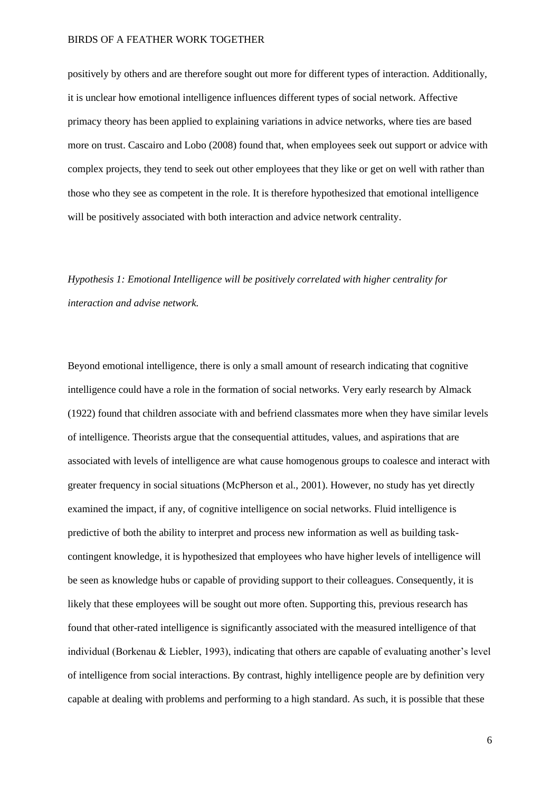positively by others and are therefore sought out more for different types of interaction. Additionally, it is unclear how emotional intelligence influences different types of social network. Affective primacy theory has been applied to explaining variations in advice networks, where ties are based more on trust. Cascairo and Lobo (2008) found that, when employees seek out support or advice with complex projects, they tend to seek out other employees that they like or get on well with rather than those who they see as competent in the role. It is therefore hypothesized that emotional intelligence will be positively associated with both interaction and advice network centrality.

*Hypothesis 1: Emotional Intelligence will be positively correlated with higher centrality for interaction and advise network.*

Beyond emotional intelligence, there is only a small amount of research indicating that cognitive intelligence could have a role in the formation of social networks. Very early research by Almack (1922) found that children associate with and befriend classmates more when they have similar levels of intelligence. Theorists argue that the consequential attitudes, values, and aspirations that are associated with levels of intelligence are what cause homogenous groups to coalesce and interact with greater frequency in social situations (McPherson et al., 2001). However, no study has yet directly examined the impact, if any, of cognitive intelligence on social networks. Fluid intelligence is predictive of both the ability to interpret and process new information as well as building taskcontingent knowledge, it is hypothesized that employees who have higher levels of intelligence will be seen as knowledge hubs or capable of providing support to their colleagues. Consequently, it is likely that these employees will be sought out more often. Supporting this, previous research has found that other-rated intelligence is significantly associated with the measured intelligence of that individual (Borkenau & Liebler, 1993), indicating that others are capable of evaluating another's level of intelligence from social interactions. By contrast, highly intelligence people are by definition very capable at dealing with problems and performing to a high standard. As such, it is possible that these

6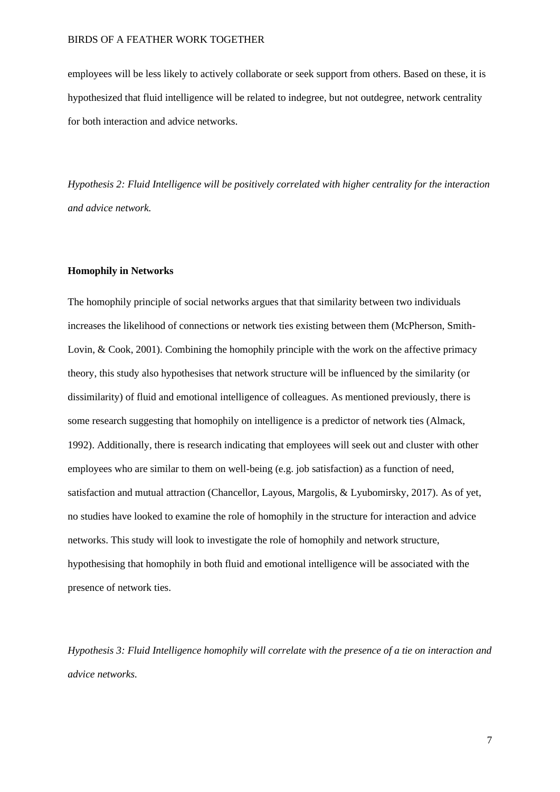employees will be less likely to actively collaborate or seek support from others. Based on these, it is hypothesized that fluid intelligence will be related to indegree, but not outdegree, network centrality for both interaction and advice networks.

*Hypothesis 2: Fluid Intelligence will be positively correlated with higher centrality for the interaction and advice network.*

## **Homophily in Networks**

The homophily principle of social networks argues that that similarity between two individuals increases the likelihood of connections or network ties existing between them (McPherson, Smith-Lovin, & Cook, 2001). Combining the homophily principle with the work on the affective primacy theory, this study also hypothesises that network structure will be influenced by the similarity (or dissimilarity) of fluid and emotional intelligence of colleagues. As mentioned previously, there is some research suggesting that homophily on intelligence is a predictor of network ties (Almack, 1992). Additionally, there is research indicating that employees will seek out and cluster with other employees who are similar to them on well-being (e.g. job satisfaction) as a function of need, satisfaction and mutual attraction (Chancellor, Layous, Margolis, & Lyubomirsky, 2017). As of yet, no studies have looked to examine the role of homophily in the structure for interaction and advice networks. This study will look to investigate the role of homophily and network structure, hypothesising that homophily in both fluid and emotional intelligence will be associated with the presence of network ties.

*Hypothesis 3: Fluid Intelligence homophily will correlate with the presence of a tie on interaction and advice networks.*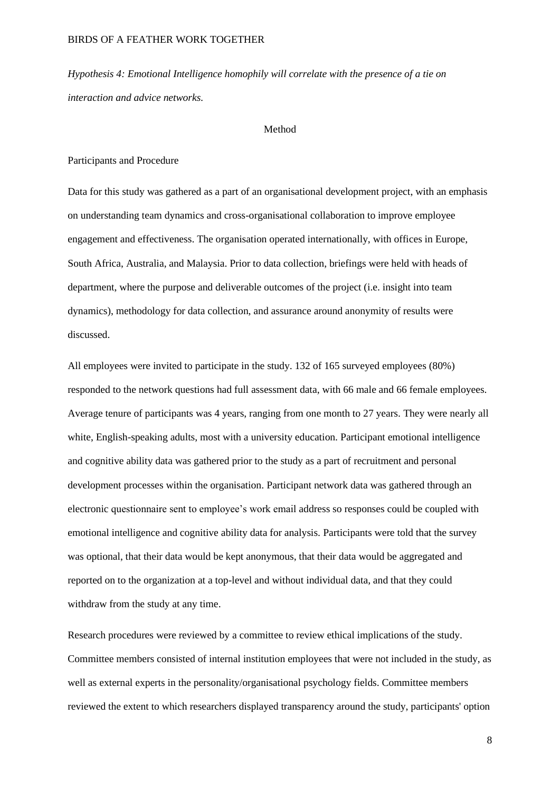*Hypothesis 4: Emotional Intelligence homophily will correlate with the presence of a tie on interaction and advice networks.*

## Method

## Participants and Procedure

Data for this study was gathered as a part of an organisational development project, with an emphasis on understanding team dynamics and cross-organisational collaboration to improve employee engagement and effectiveness. The organisation operated internationally, with offices in Europe, South Africa, Australia, and Malaysia. Prior to data collection, briefings were held with heads of department, where the purpose and deliverable outcomes of the project (i.e. insight into team dynamics), methodology for data collection, and assurance around anonymity of results were discussed.

All employees were invited to participate in the study. 132 of 165 surveyed employees (80%) responded to the network questions had full assessment data, with 66 male and 66 female employees. Average tenure of participants was 4 years, ranging from one month to 27 years. They were nearly all white, English-speaking adults, most with a university education. Participant emotional intelligence and cognitive ability data was gathered prior to the study as a part of recruitment and personal development processes within the organisation. Participant network data was gathered through an electronic questionnaire sent to employee's work email address so responses could be coupled with emotional intelligence and cognitive ability data for analysis. Participants were told that the survey was optional, that their data would be kept anonymous, that their data would be aggregated and reported on to the organization at a top-level and without individual data, and that they could withdraw from the study at any time.

Research procedures were reviewed by a committee to review ethical implications of the study. Committee members consisted of internal institution employees that were not included in the study, as well as external experts in the personality/organisational psychology fields. Committee members reviewed the extent to which researchers displayed transparency around the study, participants' option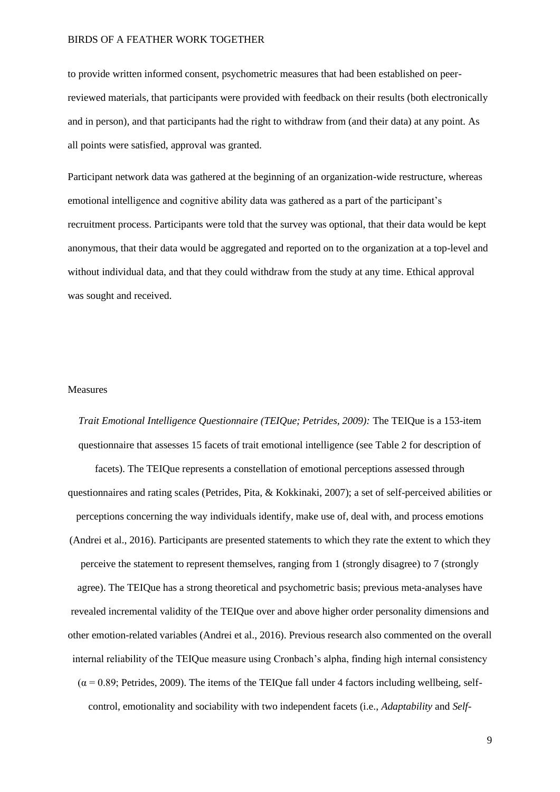to provide written informed consent, psychometric measures that had been established on peerreviewed materials, that participants were provided with feedback on their results (both electronically and in person), and that participants had the right to withdraw from (and their data) at any point. As all points were satisfied, approval was granted.

Participant network data was gathered at the beginning of an organization-wide restructure, whereas emotional intelligence and cognitive ability data was gathered as a part of the participant's recruitment process. Participants were told that the survey was optional, that their data would be kept anonymous, that their data would be aggregated and reported on to the organization at a top-level and without individual data, and that they could withdraw from the study at any time. Ethical approval was sought and received.

#### Measures

*Trait Emotional Intelligence Questionnaire (TEIQue; Petrides, 2009):* The TEIQue is a 153-item questionnaire that assesses 15 facets of trait emotional intelligence (see Table 2 for description of

facets). The TEIQue represents a constellation of emotional perceptions assessed through questionnaires and rating scales (Petrides, Pita, & Kokkinaki, 2007); a set of self-perceived abilities or perceptions concerning the way individuals identify, make use of, deal with, and process emotions (Andrei et al., 2016). Participants are presented statements to which they rate the extent to which they perceive the statement to represent themselves, ranging from 1 (strongly disagree) to 7 (strongly agree). The TEIQue has a strong theoretical and psychometric basis; previous meta-analyses have revealed incremental validity of the TEIQue over and above higher order personality dimensions and other emotion-related variables (Andrei et al., 2016). Previous research also commented on the overall internal reliability of the TEIQue measure using Cronbach's alpha, finding high internal consistency  $(\alpha = 0.89;$  Petrides, 2009). The items of the TEIQue fall under 4 factors including wellbeing, selfcontrol, emotionality and sociability with two independent facets (i.e., *Adaptability* and *Self*-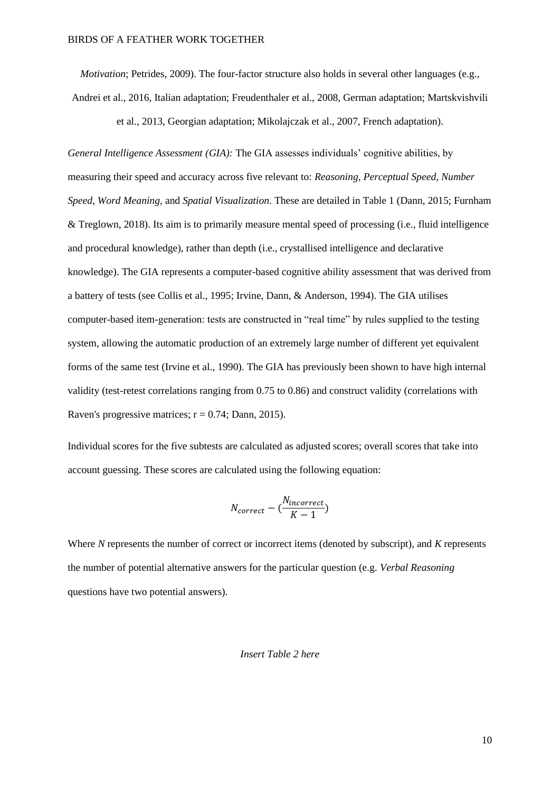*Motivation*; Petrides, 2009). The four-factor structure also holds in several other languages (e.g., Andrei et al., 2016, Italian adaptation; Freudenthaler et al., 2008, German adaptation; Martskvishvili

et al., 2013, Georgian adaptation; Mikolajczak et al., 2007, French adaptation).

*General Intelligence Assessment (GIA):* The GIA assesses individuals' cognitive abilities, by measuring their speed and accuracy across five relevant to: *Reasoning, Perceptual Speed, Number Speed, Word Meaning,* and *Spatial Visualization*. These are detailed in Table 1 (Dann, 2015; Furnham & Treglown, 2018). Its aim is to primarily measure mental speed of processing (i.e., fluid intelligence and procedural knowledge), rather than depth (i.e., crystallised intelligence and declarative knowledge). The GIA represents a computer-based cognitive ability assessment that was derived from a battery of tests (see Collis et al., 1995; Irvine, Dann, & Anderson, 1994). The GIA utilises computer-based item-generation: tests are constructed in "real time" by rules supplied to the testing system, allowing the automatic production of an extremely large number of different yet equivalent forms of the same test (Irvine et al., 1990). The GIA has previously been shown to have high internal validity (test-retest correlations ranging from 0.75 to 0.86) and construct validity (correlations with Raven's progressive matrices;  $r = 0.74$ ; Dann, 2015).

Individual scores for the five subtests are calculated as adjusted scores; overall scores that take into account guessing. These scores are calculated using the following equation:

$$
N_{correct} - (\frac{N_{incorrect}}{K-1})
$$

Where *N* represents the number of correct or incorrect items (denoted by subscript), and *K* represents the number of potential alternative answers for the particular question (e.g. *Verbal Reasoning*  questions have two potential answers).

## *Insert Table 2 here*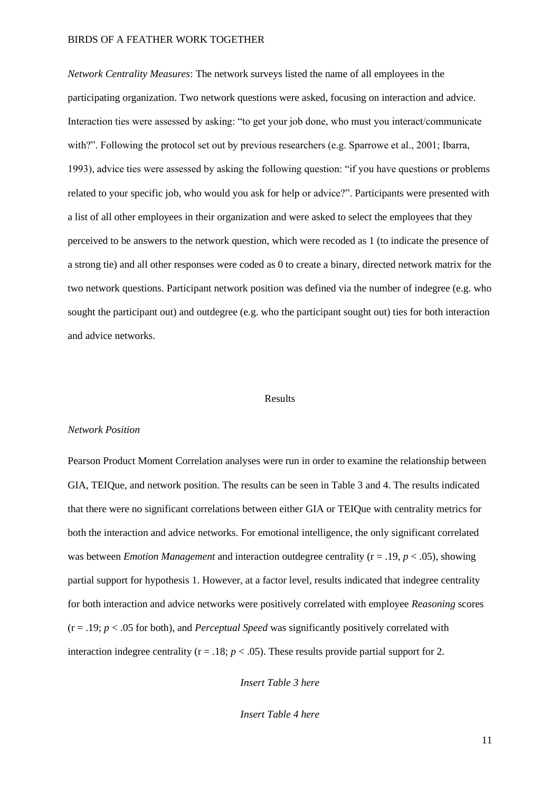*Network Centrality Measures*: The network surveys listed the name of all employees in the participating organization. Two network questions were asked, focusing on interaction and advice. Interaction ties were assessed by asking: "to get your job done, who must you interact/communicate with?". Following the protocol set out by previous researchers (e.g. Sparrowe et al., 2001; Ibarra, 1993), advice ties were assessed by asking the following question: "if you have questions or problems related to your specific job, who would you ask for help or advice?". Participants were presented with a list of all other employees in their organization and were asked to select the employees that they perceived to be answers to the network question, which were recoded as 1 (to indicate the presence of a strong tie) and all other responses were coded as 0 to create a binary, directed network matrix for the two network questions. Participant network position was defined via the number of indegree (e.g. who sought the participant out) and outdegree (e.g. who the participant sought out) ties for both interaction and advice networks.

#### Results

### *Network Position*

Pearson Product Moment Correlation analyses were run in order to examine the relationship between GIA, TEIQue, and network position. The results can be seen in Table 3 and 4. The results indicated that there were no significant correlations between either GIA or TEIQue with centrality metrics for both the interaction and advice networks. For emotional intelligence, the only significant correlated was between *Emotion Management* and interaction outdegree centrality (r = .19, *p* < .05), showing partial support for hypothesis 1. However, at a factor level, results indicated that indegree centrality for both interaction and advice networks were positively correlated with employee *Reasoning* scores  $(r = .19; p < .05$  for both), and *Perceptual Speed* was significantly positively correlated with interaction indegree centrality ( $r = .18$ ;  $p < .05$ ). These results provide partial support for 2.

*Insert Table 3 here*

*Insert Table 4 here*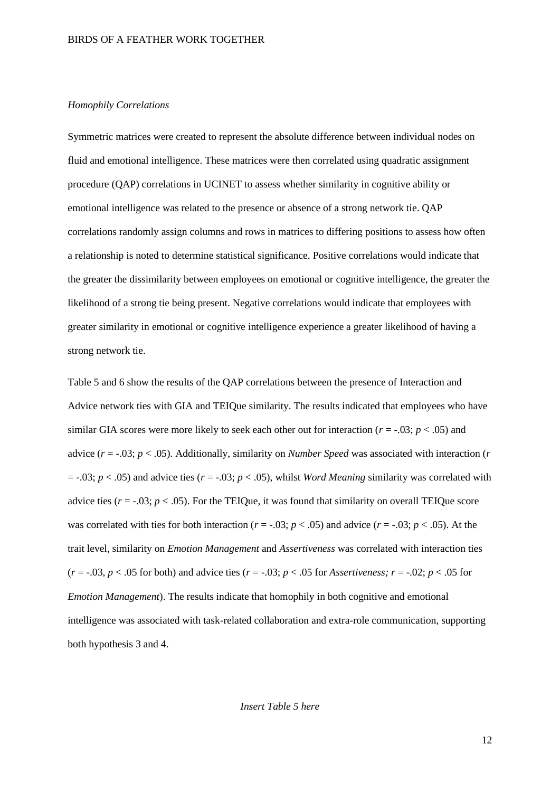#### *Homophily Correlations*

Symmetric matrices were created to represent the absolute difference between individual nodes on fluid and emotional intelligence. These matrices were then correlated using quadratic assignment procedure (QAP) correlations in UCINET to assess whether similarity in cognitive ability or emotional intelligence was related to the presence or absence of a strong network tie. QAP correlations randomly assign columns and rows in matrices to differing positions to assess how often a relationship is noted to determine statistical significance. Positive correlations would indicate that the greater the dissimilarity between employees on emotional or cognitive intelligence, the greater the likelihood of a strong tie being present. Negative correlations would indicate that employees with greater similarity in emotional or cognitive intelligence experience a greater likelihood of having a strong network tie.

Table 5 and 6 show the results of the QAP correlations between the presence of Interaction and Advice network ties with GIA and TEIQue similarity. The results indicated that employees who have similar GIA scores were more likely to seek each other out for interaction ( $r = -0.03$ ;  $p < .05$ ) and advice (*r* = -.03; *p* < .05). Additionally, similarity on *Number Speed* was associated with interaction (*r*   $=$  -.03; *p* < .05) and advice ties ( $r = -.03$ ; *p* < .05), whilst *Word Meaning* similarity was correlated with advice ties  $(r = -.03; p < .05)$ . For the TEIQue, it was found that similarity on overall TEIQue score was correlated with ties for both interaction ( $r = -0.03$ ;  $p < 0.05$ ) and advice ( $r = -0.03$ ;  $p < 0.05$ ). At the trait level, similarity on *Emotion Management* and *Assertiveness* was correlated with interaction ties  $(r = -0.03, p < .05$  for both) and advice ties  $(r = -0.03; p < .05$  for *Assertiveness;*  $r = -0.02; p < .05$  for *Emotion Management*). The results indicate that homophily in both cognitive and emotional intelligence was associated with task-related collaboration and extra-role communication, supporting both hypothesis 3 and 4.

*Insert Table 5 here*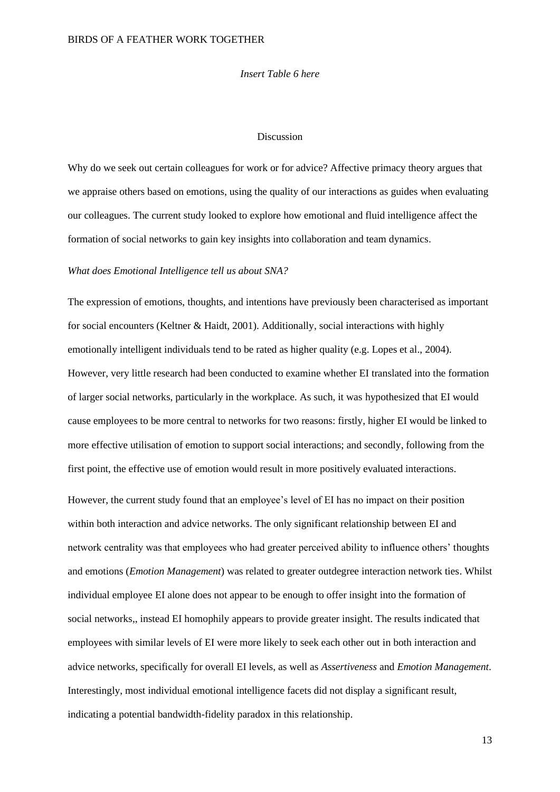#### *Insert Table 6 here*

#### Discussion

Why do we seek out certain colleagues for work or for advice? Affective primacy theory argues that we appraise others based on emotions, using the quality of our interactions as guides when evaluating our colleagues. The current study looked to explore how emotional and fluid intelligence affect the formation of social networks to gain key insights into collaboration and team dynamics.

#### *What does Emotional Intelligence tell us about SNA?*

The expression of emotions, thoughts, and intentions have previously been characterised as important for social encounters (Keltner & Haidt, 2001). Additionally, social interactions with highly emotionally intelligent individuals tend to be rated as higher quality (e.g. Lopes et al., 2004). However, very little research had been conducted to examine whether EI translated into the formation of larger social networks, particularly in the workplace. As such, it was hypothesized that EI would cause employees to be more central to networks for two reasons: firstly, higher EI would be linked to more effective utilisation of emotion to support social interactions; and secondly, following from the first point, the effective use of emotion would result in more positively evaluated interactions.

However, the current study found that an employee's level of EI has no impact on their position within both interaction and advice networks. The only significant relationship between EI and network centrality was that employees who had greater perceived ability to influence others' thoughts and emotions (*Emotion Management*) was related to greater outdegree interaction network ties. Whilst individual employee EI alone does not appear to be enough to offer insight into the formation of social networks,, instead EI homophily appears to provide greater insight. The results indicated that employees with similar levels of EI were more likely to seek each other out in both interaction and advice networks, specifically for overall EI levels, as well as *Assertiveness* and *Emotion Management*. Interestingly, most individual emotional intelligence facets did not display a significant result, indicating a potential bandwidth-fidelity paradox in this relationship.

13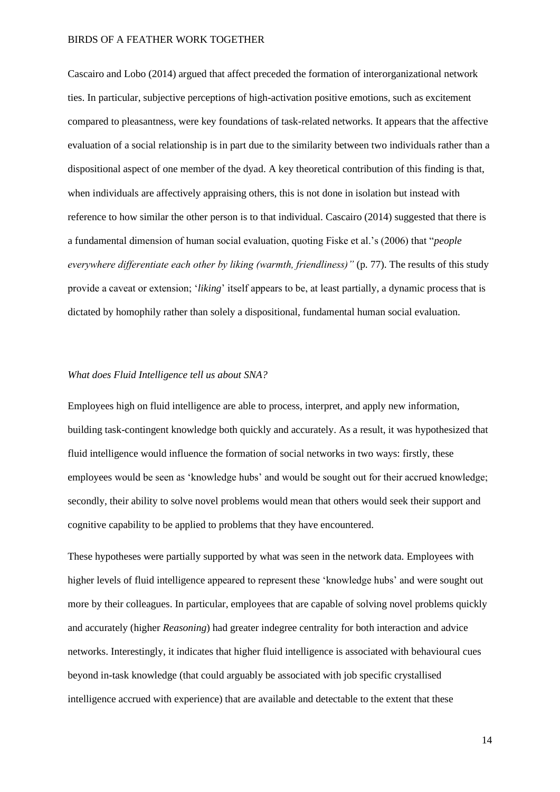Cascairo and Lobo (2014) argued that affect preceded the formation of interorganizational network ties. In particular, subjective perceptions of high-activation positive emotions, such as excitement compared to pleasantness, were key foundations of task-related networks. It appears that the affective evaluation of a social relationship is in part due to the similarity between two individuals rather than a dispositional aspect of one member of the dyad. A key theoretical contribution of this finding is that, when individuals are affectively appraising others, this is not done in isolation but instead with reference to how similar the other person is to that individual. Cascairo (2014) suggested that there is a fundamental dimension of human social evaluation, quoting Fiske et al.'s (2006) that "*people everywhere differentiate each other by liking (warmth, friendliness)"* (p. 77). The results of this study provide a caveat or extension; '*liking*' itself appears to be, at least partially, a dynamic process that is dictated by homophily rather than solely a dispositional, fundamental human social evaluation.

#### *What does Fluid Intelligence tell us about SNA?*

Employees high on fluid intelligence are able to process, interpret, and apply new information, building task-contingent knowledge both quickly and accurately. As a result, it was hypothesized that fluid intelligence would influence the formation of social networks in two ways: firstly, these employees would be seen as 'knowledge hubs' and would be sought out for their accrued knowledge; secondly, their ability to solve novel problems would mean that others would seek their support and cognitive capability to be applied to problems that they have encountered.

These hypotheses were partially supported by what was seen in the network data. Employees with higher levels of fluid intelligence appeared to represent these 'knowledge hubs' and were sought out more by their colleagues. In particular, employees that are capable of solving novel problems quickly and accurately (higher *Reasoning*) had greater indegree centrality for both interaction and advice networks. Interestingly, it indicates that higher fluid intelligence is associated with behavioural cues beyond in-task knowledge (that could arguably be associated with job specific crystallised intelligence accrued with experience) that are available and detectable to the extent that these

14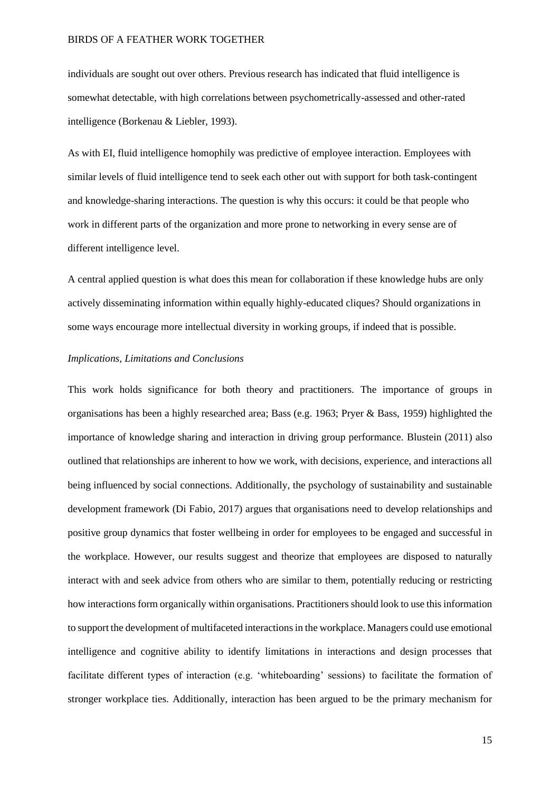individuals are sought out over others. Previous research has indicated that fluid intelligence is somewhat detectable, with high correlations between psychometrically-assessed and other-rated intelligence (Borkenau & Liebler, 1993).

As with EI, fluid intelligence homophily was predictive of employee interaction. Employees with similar levels of fluid intelligence tend to seek each other out with support for both task-contingent and knowledge-sharing interactions. The question is why this occurs: it could be that people who work in different parts of the organization and more prone to networking in every sense are of different intelligence level.

A central applied question is what does this mean for collaboration if these knowledge hubs are only actively disseminating information within equally highly-educated cliques? Should organizations in some ways encourage more intellectual diversity in working groups, if indeed that is possible.

#### *Implications, Limitations and Conclusions*

This work holds significance for both theory and practitioners. The importance of groups in organisations has been a highly researched area; Bass (e.g. 1963; Pryer & Bass, 1959) highlighted the importance of knowledge sharing and interaction in driving group performance. Blustein (2011) also outlined that relationships are inherent to how we work, with decisions, experience, and interactions all being influenced by social connections. Additionally, the psychology of sustainability and sustainable development framework (Di Fabio, 2017) argues that organisations need to develop relationships and positive group dynamics that foster wellbeing in order for employees to be engaged and successful in the workplace. However, our results suggest and theorize that employees are disposed to naturally interact with and seek advice from others who are similar to them, potentially reducing or restricting how interactions form organically within organisations. Practitioners should look to use this information to support the development of multifaceted interactions in the workplace. Managers could use emotional intelligence and cognitive ability to identify limitations in interactions and design processes that facilitate different types of interaction (e.g. 'whiteboarding' sessions) to facilitate the formation of stronger workplace ties. Additionally, interaction has been argued to be the primary mechanism for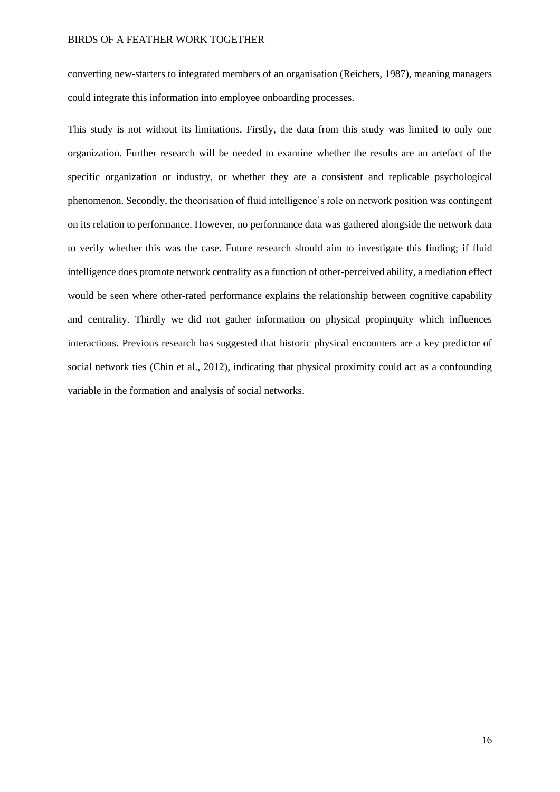converting new-starters to integrated members of an organisation (Reichers, 1987), meaning managers could integrate this information into employee onboarding processes.

This study is not without its limitations. Firstly, the data from this study was limited to only one organization. Further research will be needed to examine whether the results are an artefact of the specific organization or industry, or whether they are a consistent and replicable psychological phenomenon. Secondly, the theorisation of fluid intelligence's role on network position was contingent on its relation to performance. However, no performance data was gathered alongside the network data to verify whether this was the case. Future research should aim to investigate this finding; if fluid intelligence does promote network centrality as a function of other-perceived ability, a mediation effect would be seen where other-rated performance explains the relationship between cognitive capability and centrality. Thirdly we did not gather information on physical propinquity which influences interactions. Previous research has suggested that historic physical encounters are a key predictor of social network ties (Chin et al., 2012), indicating that physical proximity could act as a confounding variable in the formation and analysis of social networks.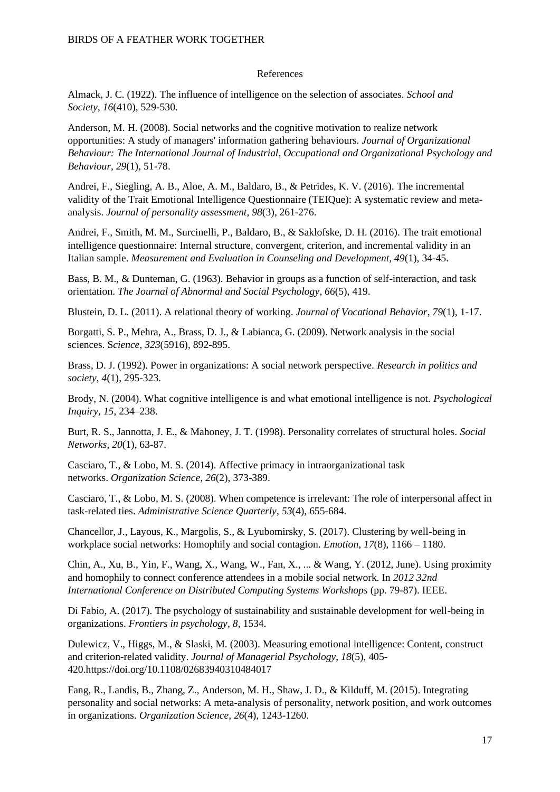#### References

Almack, J. C. (1922). The influence of intelligence on the selection of associates. *School and Society*, *16*(410), 529-530.

Anderson, M. H. (2008). Social networks and the cognitive motivation to realize network opportunities: A study of managers' information gathering behaviours. *Journal of Organizational Behaviour: The International Journal of Industrial, Occupational and Organizational Psychology and Behaviour*, *29*(1), 51-78.

Andrei, F., Siegling, A. B., Aloe, A. M., Baldaro, B., & Petrides, K. V. (2016). The incremental validity of the Trait Emotional Intelligence Questionnaire (TEIQue): A systematic review and metaanalysis. *Journal of personality assessment, 98*(3), 261-276.

Andrei, F., Smith, M. M., Surcinelli, P., Baldaro, B., & Saklofske, D. H. (2016). The trait emotional intelligence questionnaire: Internal structure, convergent, criterion, and incremental validity in an Italian sample. *Measurement and Evaluation in Counseling and Development, 49*(1), 34-45.

Bass, B. M., & Dunteman, G. (1963). Behavior in groups as a function of self-interaction, and task orientation. *The Journal of Abnormal and Social Psychology*, *66*(5), 419.

Blustein, D. L. (2011). A relational theory of working. *Journal of Vocational Behavior*, *79*(1), 1-17.

Borgatti, S. P., Mehra, A., Brass, D. J., & Labianca, G. (2009). Network analysis in the social sciences. S*cience*, *323*(5916), 892-895.

Brass, D. J. (1992). Power in organizations: A social network perspective. *Research in politics and society*, *4*(1), 295-323.

Brody, N. (2004). What cognitive intelligence is and what emotional intelligence is not. *Psychological Inquiry, 15*, 234–238.

Burt, R. S., Jannotta, J. E., & Mahoney, J. T. (1998). Personality correlates of structural holes. *Social Networks*, *20*(1), 63-87.

Casciaro, T., & Lobo, M. S. (2014). Affective primacy in intraorganizational task networks. *Organization Science*, *26*(2), 373-389.

Casciaro, T., & Lobo, M. S. (2008). When competence is irrelevant: The role of interpersonal affect in task-related ties. *Administrative Science Quarterly*, *53*(4), 655-684.

Chancellor, J., Layous, K., Margolis, S., & Lyubomirsky, S. (2017). Clustering by well-being in workplace social networks: Homophily and social contagion. *Emotion, 17*(8), 1166 – 1180.

Chin, A., Xu, B., Yin, F., Wang, X., Wang, W., Fan, X., ... & Wang, Y. (2012, June). Using proximity and homophily to connect conference attendees in a mobile social network. In *2012 32nd International Conference on Distributed Computing Systems Workshops* (pp. 79-87). IEEE.

Di Fabio, A. (2017). The psychology of sustainability and sustainable development for well-being in organizations. *Frontiers in psychology*, *8*, 1534.

Dulewicz, V., Higgs, M., & Slaski, M. (2003). Measuring emotional intelligence: Content, construct and criterion-related validity. *Journal of Managerial Psychology*, *18*(5), 405- 420.https://doi.org/10.1108/02683940310484017

Fang, R., Landis, B., Zhang, Z., Anderson, M. H., Shaw, J. D., & Kilduff, M. (2015). Integrating personality and social networks: A meta-analysis of personality, network position, and work outcomes in organizations. *Organization Science*, *26*(4), 1243-1260.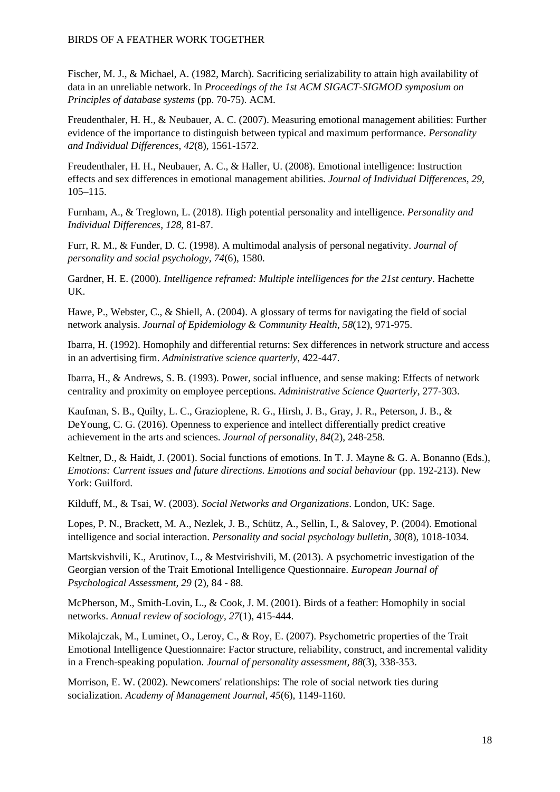Fischer, M. J., & Michael, A. (1982, March). Sacrificing serializability to attain high availability of data in an unreliable network. In *Proceedings of the 1st ACM SIGACT-SIGMOD symposium on Principles of database systems* (pp. 70-75). ACM.

Freudenthaler, H. H., & Neubauer, A. C. (2007). Measuring emotional management abilities: Further evidence of the importance to distinguish between typical and maximum performance. *Personality and Individual Differences*, *42*(8), 1561-1572.

Freudenthaler, H. H., Neubauer, A. C., & Haller, U. (2008). Emotional intelligence: Instruction effects and sex differences in emotional management abilities. *Journal of Individual Differences, 29,* 105–115.

Furnham, A., & Treglown, L. (2018). High potential personality and intelligence. *Personality and Individual Differences*, *128*, 81-87.

Furr, R. M., & Funder, D. C. (1998). A multimodal analysis of personal negativity. *Journal of personality and social psychology*, *74*(6), 1580.

Gardner, H. E. (2000). *Intelligence reframed: Multiple intelligences for the 21st century*. Hachette UK.

Hawe, P., Webster, C., & Shiell, A. (2004). A glossary of terms for navigating the field of social network analysis. *Journal of Epidemiology & Community Health*, *58*(12), 971-975.

Ibarra, H. (1992). Homophily and differential returns: Sex differences in network structure and access in an advertising firm. *Administrative science quarterly*, 422-447.

Ibarra, H., & Andrews, S. B. (1993). Power, social influence, and sense making: Effects of network centrality and proximity on employee perceptions. *Administrative Science Quarterly*, 277-303.

Kaufman, S. B., Quilty, L. C., Grazioplene, R. G., Hirsh, J. B., Gray, J. R., Peterson, J. B., & DeYoung, C. G. (2016). Openness to experience and intellect differentially predict creative achievement in the arts and sciences. *Journal of personality*, *84*(2), 248-258.

Keltner, D., & Haidt, J. (2001). Social functions of emotions. In T. J. Mayne & G. A. Bonanno (Eds.), *Emotions: Current issues and future directions. Emotions and social behaviour* (pp. 192-213). New York: Guilford.

Kilduff, M., & Tsai, W. (2003). *Social Networks and Organizations*. London, UK: Sage.

Lopes, P. N., Brackett, M. A., Nezlek, J. B., Schütz, A., Sellin, I., & Salovey, P. (2004). Emotional intelligence and social interaction. *Personality and social psychology bulletin*, *30*(8), 1018-1034.

Martskvishvili, K., Arutinov, L., & Mestvirishvili, M. (2013). A psychometric investigation of the Georgian version of the Trait Emotional Intelligence Questionnaire. *European Journal of Psychological Assessment, 29* (2), 84 - 88*.*

McPherson, M., Smith-Lovin, L., & Cook, J. M. (2001). Birds of a feather: Homophily in social networks. *Annual review of sociology*, *27*(1), 415-444.

Mikolajczak, M., Luminet, O., Leroy, C., & Roy, E. (2007). Psychometric properties of the Trait Emotional Intelligence Questionnaire: Factor structure, reliability, construct, and incremental validity in a French-speaking population. *Journal of personality assessment, 88*(3), 338-353.

Morrison, E. W. (2002). Newcomers' relationships: The role of social network ties during socialization. *Academy of Management Journal*, *45*(6), 1149-1160.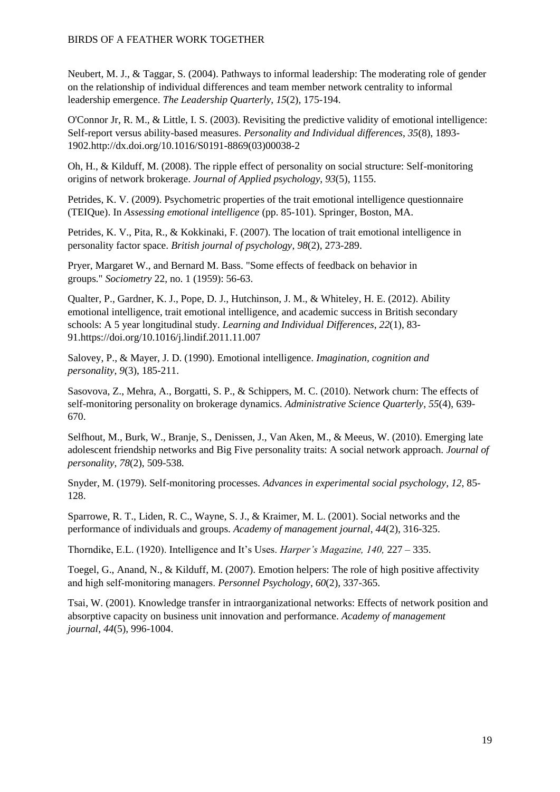Neubert, M. J., & Taggar, S. (2004). Pathways to informal leadership: The moderating role of gender on the relationship of individual differences and team member network centrality to informal leadership emergence. *The Leadership Quarterly*, *15*(2), 175-194.

O'Connor Jr, R. M., & Little, I. S. (2003). Revisiting the predictive validity of emotional intelligence: Self-report versus ability-based measures. *Personality and Individual differences*, *35*(8), 1893- 1902.http://dx.doi.org/10.1016/S0191-8869(03)00038-2

Oh, H., & Kilduff, M. (2008). The ripple effect of personality on social structure: Self-monitoring origins of network brokerage. *Journal of Applied psychology*, *93*(5), 1155.

Petrides, K. V. (2009). Psychometric properties of the trait emotional intelligence questionnaire (TEIQue). In *Assessing emotional intelligence* (pp. 85-101). Springer, Boston, MA.

Petrides, K. V., Pita, R., & Kokkinaki, F. (2007). The location of trait emotional intelligence in personality factor space. *British journal of psychology*, *98*(2), 273-289.

Pryer, Margaret W., and Bernard M. Bass. "Some effects of feedback on behavior in groups." *Sociometry* 22, no. 1 (1959): 56-63.

Qualter, P., Gardner, K. J., Pope, D. J., Hutchinson, J. M., & Whiteley, H. E. (2012). Ability emotional intelligence, trait emotional intelligence, and academic success in British secondary schools: A 5 year longitudinal study. *Learning and Individual Differences*, *22*(1), 83- 91.https://doi.org/10.1016/j.lindif.2011.11.007

Salovey, P., & Mayer, J. D. (1990). Emotional intelligence. *Imagination, cognition and personality*, *9*(3), 185-211.

Sasovova, Z., Mehra, A., Borgatti, S. P., & Schippers, M. C. (2010). Network churn: The effects of self-monitoring personality on brokerage dynamics. *Administrative Science Quarterly*, *55*(4), 639- 670.

Selfhout, M., Burk, W., Branje, S., Denissen, J., Van Aken, M., & Meeus, W. (2010). Emerging late adolescent friendship networks and Big Five personality traits: A social network approach. *Journal of personality*, *78*(2), 509-538.

Snyder, M. (1979). Self-monitoring processes. *Advances in experimental social psychology*, *12*, 85- 128.

Sparrowe, R. T., Liden, R. C., Wayne, S. J., & Kraimer, M. L. (2001). Social networks and the performance of individuals and groups. *Academy of management journal*, *44*(2), 316-325.

Thorndike, E.L. (1920). Intelligence and It's Uses. *Harper's Magazine, 140,* 227 – 335.

Toegel, G., Anand, N., & Kilduff, M. (2007). Emotion helpers: The role of high positive affectivity and high self‐monitoring managers. *Personnel Psychology*, *60*(2), 337-365.

Tsai, W. (2001). Knowledge transfer in intraorganizational networks: Effects of network position and absorptive capacity on business unit innovation and performance. *Academy of management journal*, *44*(5), 996-1004.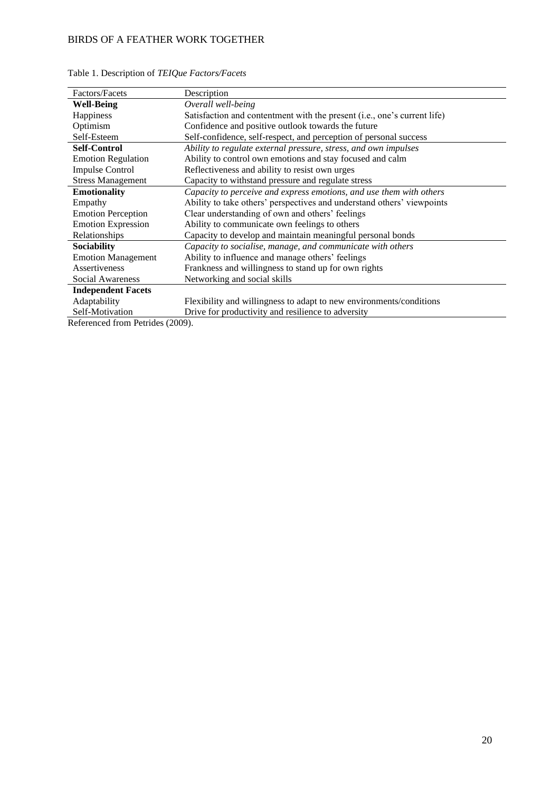| Factors/Facets            | Description                                                              |  |
|---------------------------|--------------------------------------------------------------------------|--|
| <b>Well-Being</b>         | Overall well-being                                                       |  |
| Happiness                 | Satisfaction and contentment with the present (i.e., one's current life) |  |
| Optimism                  | Confidence and positive outlook towards the future                       |  |
| Self-Esteem               | Self-confidence, self-respect, and perception of personal success        |  |
| <b>Self-Control</b>       | Ability to regulate external pressure, stress, and own impulses          |  |
| <b>Emotion Regulation</b> | Ability to control own emotions and stay focused and calm                |  |
| <b>Impulse Control</b>    | Reflectiveness and ability to resist own urges                           |  |
| <b>Stress Management</b>  | Capacity to withstand pressure and regulate stress                       |  |
| <b>Emotionality</b>       | Capacity to perceive and express emotions, and use them with others      |  |
| Empathy                   | Ability to take others' perspectives and understand others' viewpoints   |  |
| <b>Emotion Perception</b> | Clear understanding of own and others' feelings                          |  |
| <b>Emotion Expression</b> | Ability to communicate own feelings to others                            |  |
| Relationships             | Capacity to develop and maintain meaningful personal bonds               |  |
| Sociability               | Capacity to socialise, manage, and communicate with others               |  |
| <b>Emotion Management</b> | Ability to influence and manage others' feelings                         |  |
| Assertiveness             | Frankness and willingness to stand up for own rights                     |  |
| Social Awareness          | Networking and social skills                                             |  |
| <b>Independent Facets</b> |                                                                          |  |
| Adaptability              | Flexibility and willingness to adapt to new environments/conditions      |  |
| Self-Motivation           | Drive for productivity and resilience to adversity                       |  |

Table 1. Description of *TEIQue Factors/Facets*

Referenced from Petrides (2009).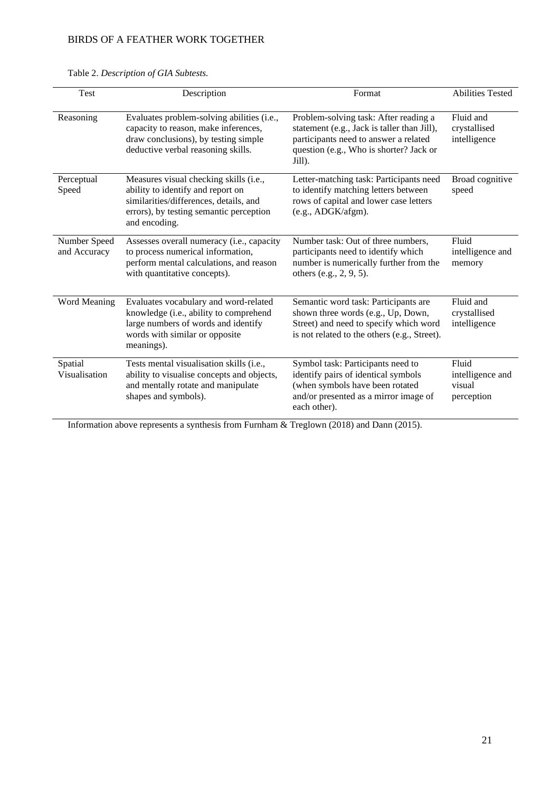Table 2. *Description of GIA Subtests.*

| Test                         | Description                                                                                                                                                                       | Format                                                                                                                                                                             |                                                   |
|------------------------------|-----------------------------------------------------------------------------------------------------------------------------------------------------------------------------------|------------------------------------------------------------------------------------------------------------------------------------------------------------------------------------|---------------------------------------------------|
| Reasoning                    | Evaluates problem-solving abilities (i.e.,<br>capacity to reason, make inferences,<br>draw conclusions), by testing simple<br>deductive verbal reasoning skills.                  | Problem-solving task: After reading a<br>statement (e.g., Jack is taller than Jill),<br>participants need to answer a related<br>question (e.g., Who is shorter? Jack or<br>Jill). | Fluid and<br>crystallised<br>intelligence         |
| Perceptual<br>Speed          | Measures visual checking skills (i.e.,<br>ability to identify and report on<br>similarities/differences, details, and<br>errors), by testing semantic perception<br>and encoding. | Letter-matching task: Participants need<br>to identify matching letters between<br>rows of capital and lower case letters<br>(e.g., ADGK/afgm).                                    | Broad cognitive<br>speed                          |
| Number Speed<br>and Accuracy | Assesses overall numeracy (i.e., capacity<br>to process numerical information,<br>perform mental calculations, and reason<br>with quantitative concepts).                         | Number task: Out of three numbers,<br>participants need to identify which<br>number is numerically further from the<br>others (e.g., 2, 9, 5).                                     | Fluid<br>intelligence and<br>memory               |
| Word Meaning                 | Evaluates vocabulary and word-related<br>knowledge (i.e., ability to comprehend<br>large numbers of words and identify<br>words with similar or opposite<br>meanings).            | Semantic word task: Participants are<br>shown three words (e.g., Up, Down,<br>Street) and need to specify which word<br>is not related to the others (e.g., Street).               | Fluid and<br>crystallised<br>intelligence         |
| Spatial<br>Visualisation     | Tests mental visualisation skills (i.e.,<br>ability to visualise concepts and objects,<br>and mentally rotate and manipulate<br>shapes and symbols).                              | Symbol task: Participants need to<br>identify pairs of identical symbols<br>(when symbols have been rotated<br>and/or presented as a mirror image of<br>each other).               | Fluid<br>intelligence and<br>visual<br>perception |

Information above represents a synthesis from Furnham & Treglown (2018) and Dann (2015).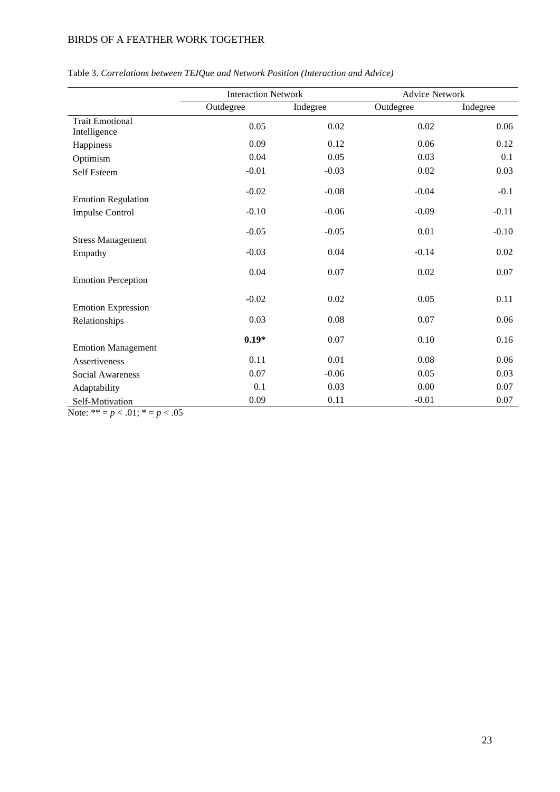|                                        | <b>Interaction Network</b> |          | <b>Advice Network</b> |          |
|----------------------------------------|----------------------------|----------|-----------------------|----------|
|                                        | Outdegree                  | Indegree | Outdegree             | Indegree |
| <b>Trait Emotional</b><br>Intelligence | 0.05                       | 0.02     | 0.02                  | 0.06     |
| Happiness                              | 0.09                       | 0.12     | 0.06                  | 0.12     |
| Optimism                               | 0.04                       | 0.05     | 0.03                  | 0.1      |
| Self Esteem                            | $-0.01$                    | $-0.03$  | 0.02                  | 0.03     |
| <b>Emotion Regulation</b>              | $-0.02$                    | $-0.08$  | $-0.04$               | $-0.1$   |
| <b>Impulse Control</b>                 | $-0.10$                    | $-0.06$  | $-0.09$               | $-0.11$  |
| <b>Stress Management</b>               | $-0.05$                    | $-0.05$  | 0.01                  | $-0.10$  |
| Empathy                                | $-0.03$                    | 0.04     | $-0.14$               | 0.02     |
| <b>Emotion Perception</b>              | 0.04                       | 0.07     | 0.02                  | 0.07     |
| <b>Emotion Expression</b>              | $-0.02$                    | 0.02     | 0.05                  | 0.11     |
| Relationships                          | 0.03                       | 0.08     | 0.07                  | 0.06     |
| <b>Emotion Management</b>              | $0.19*$                    | 0.07     | 0.10                  | 0.16     |
| Assertiveness                          | 0.11                       | 0.01     | 0.08                  | 0.06     |
| Social Awareness                       | 0.07                       | $-0.06$  | 0.05                  | 0.03     |
| Adaptability                           | 0.1                        | 0.03     | 0.00                  | 0.07     |
| Self-Motivation                        | 0.09                       | 0.11     | $-0.01$               | 0.07     |

Table 3. *Correlations between TEIQue and Network Position (Interaction and Advice)*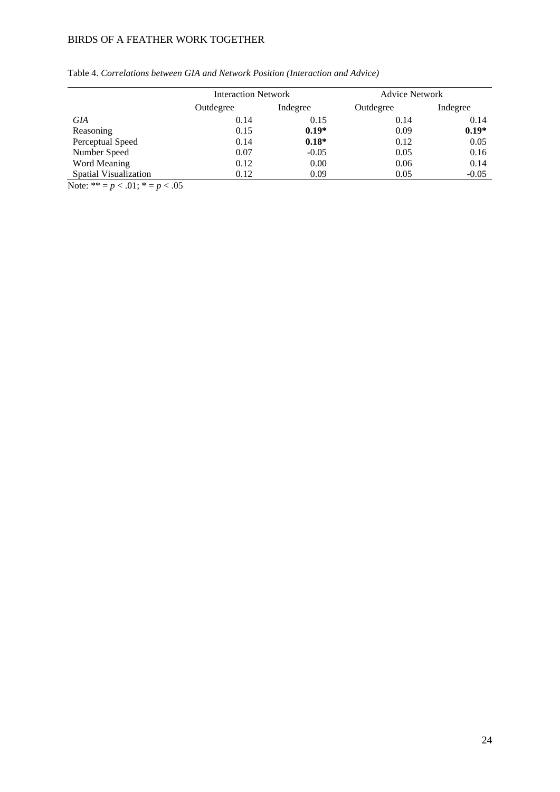|                       | <b>Interaction Network</b> |          | <b>Advice Network</b> |          |
|-----------------------|----------------------------|----------|-----------------------|----------|
|                       | Outdegree                  | Indegree | Outdegree             | Indegree |
| GIA                   | 0.14                       | 0.15     | 0.14                  | 0.14     |
| Reasoning             | 0.15                       | $0.19*$  | 0.09                  | $0.19*$  |
| Perceptual Speed      | 0.14                       | $0.18*$  | 0.12                  | 0.05     |
| Number Speed          | 0.07                       | $-0.05$  | 0.05                  | 0.16     |
| Word Meaning          | 0.12                       | 0.00     | 0.06                  | 0.14     |
| Spatial Visualization | 0.12                       | 0.09     | 0.05                  | $-0.05$  |

Table 4. *Correlations between GIA and Network Position (Interaction and Advice)*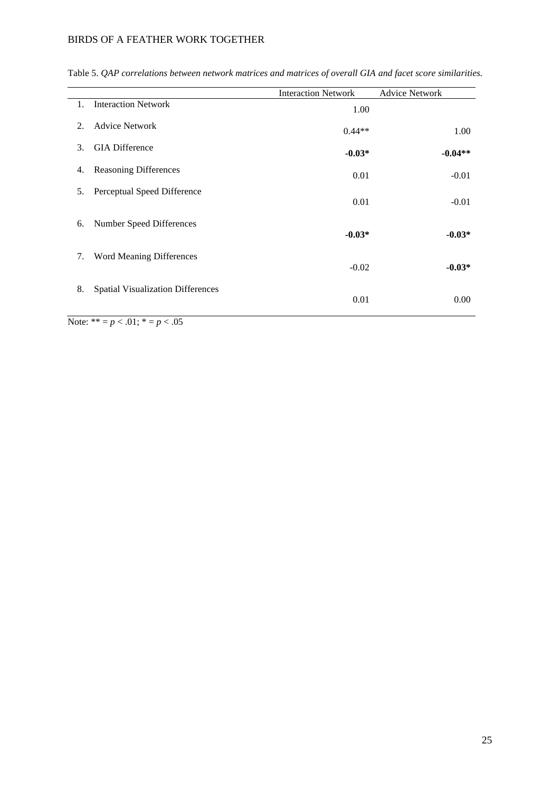|    |                                          | <b>Interaction Network</b> | <b>Advice Network</b> |
|----|------------------------------------------|----------------------------|-----------------------|
| 1. | <b>Interaction Network</b>               | 1.00                       |                       |
| 2. | <b>Advice Network</b>                    | $0.44**$                   | 1.00                  |
| 3. | <b>GIA</b> Difference                    | $-0.03*$                   | $-0.04**$             |
| 4. | <b>Reasoning Differences</b>             | 0.01                       | $-0.01$               |
| 5. | Perceptual Speed Difference              | 0.01                       | $-0.01$               |
| 6. | Number Speed Differences                 | $-0.03*$                   | $-0.03*$              |
| 7. | <b>Word Meaning Differences</b>          | $-0.02$                    | $-0.03*$              |
| 8. | <b>Spatial Visualization Differences</b> | 0.01                       | 0.00                  |

Table 5. *QAP correlations between network matrices and matrices of overall GIA and facet score similarities.*